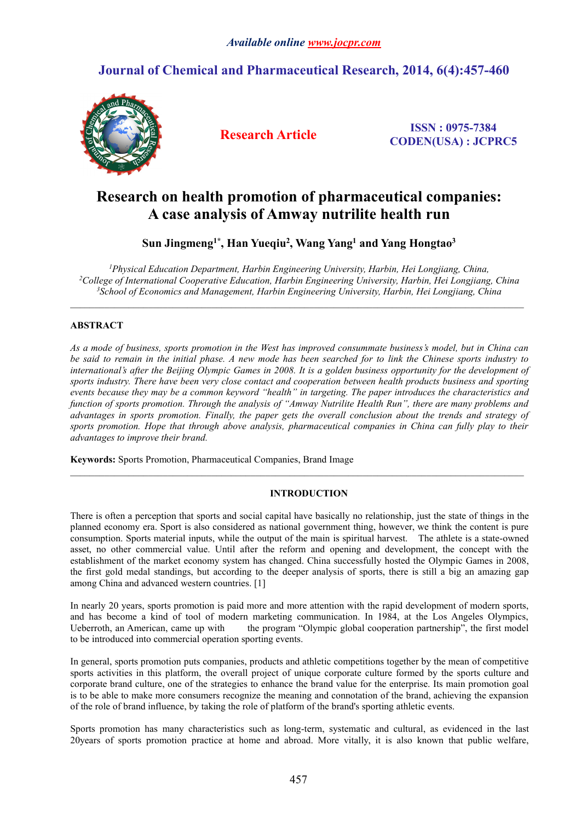# **Journal of Chemical and Pharmaceutical Research, 2014, 6(4):457-460**



**Research Article ISSN : 0975-7384 CODEN(USA) : JCPRC5**

# **Research on health promotion of pharmaceutical companies: A case analysis ofAmway nutrilite health run**

**Sun Jingmeng1\* , Han Yueqiu<sup>2</sup> , Wang Yang<sup>1</sup> and Yang Hongtao<sup>3</sup>**

*<sup>1</sup>Physical Education Department, Harbin Engineering University, Harbin, Hei Longjiang, China, <sup>2</sup>College of International Cooperative Education, Harbin Engineering University, Harbin, Hei Longjiang, China <sup>3</sup>School of Economics and Management, Harbin Engineering University, Harbin, Hei Longjiang, China*

# **ABSTRACT**

As a mode of business, sports promotion in the West has improved consummate business's model, but in China can be said to remain in the initial phase. A new mode has been searched for to link the Chinese sports industry to international's after the Beijing Olympic Games in 2008. It is a golden business opportunity for the development of sports industry. There have been very close contact and cooperation between health products business and sporting *events because they may be a common keyword "health" intargeting. The paper introduces the characteristics and* function of sports promotion. Through the analysis of "Amway Nutrilite Health Run", there are many problems and advantages in sports promotion. Finally, the paper gets the overall conclusion about the trends and strategy of *sports promotion. Hope that through above analysis, pharmaceutical companies in China can fully play to their advantages to improve their brand.*

**Keywords:** Sports Promotion, Pharmaceutical Companies, Brand Image

## **INTRODUCTION**

There is often a perception that sports and social capital have basically no relationship, just the state of things in the planned economy era. Sportis also considered as national government thing, however, we think the content is pure consumption. Sports material inputs, while the output of the main is spiritual harvest. The athlete is a state-owned asset, no other commercial value. Until after the reform and opening and development, the concept with the establishment of the market economy system has changed. China successfully hosted the Olympic Games in 2008, the first gold medal standings, but according to the deeper analysis of sports, there is still a big an amazing gap among China and advanced western countries. [1]

In nearly 20 years, sports promotion is paid more and more attention with the rapid development of modern sports, and has become a kind of tool of modern marketing communication. In 1984, at the Los Angeles Olympics, Ueberroth, an American, came up with the program "Olympic global cooperation partnership", the first model to be introduced into commercial operation sporting events.

In general, sports promotion puts companies, products and athletic competitions together by the mean of competitive sports activities in this platform, the overall project of unique corporate culture formed by the sports culture and corporate brand culture, one of the strategies to enhance the brand value for the enterprise. Its main promotion goal is to be able to make more consumers recognize the meaning and connotation of the brand, achieving the expansion of the role of brand influence, by taking the role of platform of the brand's sporting athletic events.

Sports promotion has many characteristics such as long-term, systematic and cultural, as evidenced in the last 20years of sports promotion practice at home and abroad. More vitally, it is also known that public welfare,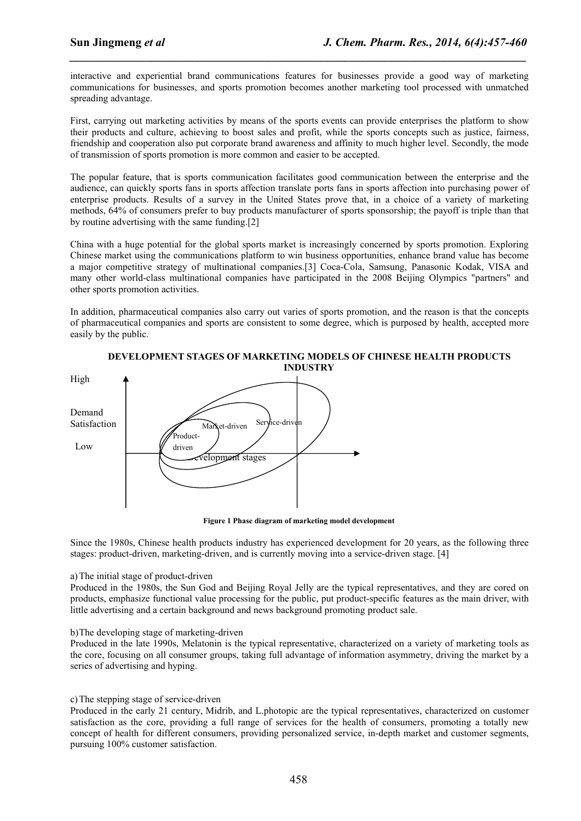interactive and experiential brand communications features for businesses provide a good way of marketing communications for businesses, and sports promotion becomes another marketing tool processed with unmatched spreading advantage.

*\_\_\_\_\_\_\_\_\_\_\_\_\_\_\_\_\_\_\_\_\_\_\_\_\_\_\_\_\_\_\_\_\_\_\_\_\_\_\_\_\_\_\_\_\_\_\_\_\_\_\_\_\_\_\_\_\_\_\_\_\_\_\_\_\_\_\_\_\_\_\_\_\_\_\_\_\_\_*

First, carrying out marketing activities by means of the sports events can provide enterprises the platform to show their products and culture, achieving to boost sales and profit, while the sports concepts such as justice, fairness, friendship and cooperation also put corporate brand awareness and affinity to much higher level. Secondly, the mode of transmission of sports promotion is more common and easier to be accepted.

The popular feature, that is sports communication facilitates good communication between the enterprise and the audience, can quickly sports fans in sports affection translate ports fans in sports affection into purchasing power of enterprise products. Results of a survey in the United States prove that, in a choice of a variety of marketing methods, 64% of consumers prefer to buy products manufacturer of sports sponsorship; the payoff is triple than that by routine advertising with the same funding.[2]

China with a huge potential for the global sports market is increasingly concerned by sports promotion. Exploring Chinese market using the communications platform to win business opportunities, enhance brand value has become a major competitive strategy of multinational companies.[3] Coca-Cola, Samsung, Panasonic Kodak, VISA and many other world-class multinational companies have participated in the 2008 Beijing Olympics "partners" and other sports promotion activities.

In addition, pharmaceutical companies also carry out varies of sports promotion, and the reason is that the concepts of pharmaceutical companies and sports are consistent to some degree, which is purposed by health, accepted more easily by the public.



**DEVELOPMENT STAGES OF MARKETING MODELS OF CHINESE HEALTH PRODUCTS**

**Figure 1 Phase diagram of marketing model development**

Since the 1980s, Chinese health products industry has experienced development for 20 years, as the following three stages: product-driven, marketing-driven, and is currently moving into a service-driven stage. [4]

## a)The initial stage of product-driven

Produced in the 1980s, the Sun God and Beijing Royal Jelly are the typical representatives, and they are cored on products, emphasize functional value processing for the public, put product-specific features as the main driver, with little advertising and a certain background and news background promoting product sale.

## b)The developing stage of marketing-driven

Produced in the late 1990s, Melatonin is the typical representative, characterized on a variety of marketing tools as the core, focusing on all consumer groups, taking full advantage of information asymmetry, driving the market by a series of advertising and hyping.

## c)The stepping stage of service-driven

Produced in the early 21 century, Midrib, and L.photopic are the typical representatives, characterized on customer satisfaction as the core, providing a full range of services for the health of consumers, promoting a totally new concept of health for different consumers, providing personalized service, in-depth market and customer segments, pursuing 100% customer satisfaction.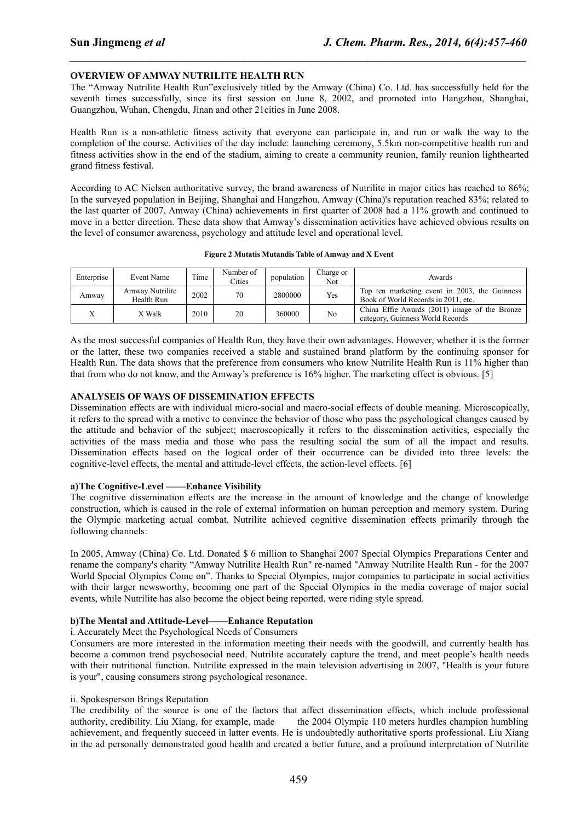## **OVERVIEW OF AMWAY NUTRILITE HEALTH RUN**

The "Amway Nutrilite Health Run"exclusively titled by the Amway (China) Co. Ltd. has successfully held for the seventh times successfully, since its first session on June 8, 2002, and promoted into Hangzhou, Shanghai, Guangzhou, Wuhan, Chengdu, Jinan and other 21cities in June 2008.

*\_\_\_\_\_\_\_\_\_\_\_\_\_\_\_\_\_\_\_\_\_\_\_\_\_\_\_\_\_\_\_\_\_\_\_\_\_\_\_\_\_\_\_\_\_\_\_\_\_\_\_\_\_\_\_\_\_\_\_\_\_\_\_\_\_\_\_\_\_\_\_\_\_\_\_\_\_\_*

Health Run is a non-athletic fitness activity that everyone can participate in, and run orwalk the way to the completion of the course. Activities of the day include: launching ceremony, 5.5km non-competitive health run and fitness activities show in the end of the stadium, aiming to create a community reunion, family reunion lighthearted grand fitness festival.

According to AC Nielsen authoritative survey, the brand awareness of Nutrilite in major cities has reached to 86%; In the surveyed population in Beijing, Shanghai and Hangzhou, Amway (China)'s reputation reached 83%; related to the last quarter of 2007, Amway (China) achievements in first quarter of 2008 had a 11% growth and continued to move in a better direction. These data show that Amway's dissemination activities have achieved obvious results on the level of consumer awareness, psychology and attitude level and operational level.

#### **Figure 2 Mutatis Mutandis Table of Amway and X Event**

| Enterprise | Event Name                    | Time | Number of<br>Cities | population | harge or<br>Not. | Awards                                                                               |
|------------|-------------------------------|------|---------------------|------------|------------------|--------------------------------------------------------------------------------------|
| Amwav      | Amway Nutrilite<br>Health Run | 2002 | 70                  | 2800000    | Yes              | Top ten marketing event in 2003, the Guinness<br>Book of World Records in 2011, etc. |
|            | X Walk                        | 2010 | 20                  | 360000     | No               | China Effie Awards (2011) image of the Bronze<br>category. Guinness World Records    |

As the most successful companies of Health Run, they have their own advantages. However, whether it is the former or the latter, these two companies received a stable and sustained brand platform by the continuing sponsor for Health Run. The data shows that the preference from consumers who know Nutrilite Health Run is 11% higher than that from who do not know, and the Amway's preference is 16% higher. The marketing effect is obvious. [5]

## **ANALYSEIS OF WAYS OF DISSEMINATION EFFECTS**

Dissemination effects are with individual micro-social and macro-social effects of double meaning. Microscopically, it refers to the spread with a motive to convince the behavior of those who pass the psychological changes caused by the attitude and behavior of the subject; macroscopically it refers to the dissemination activities, especially the activities of the mass media and those who pass the resulting social the sum of all the impact and results. Dissemination effects based on the logical order of their occurrence can be divided into three levels: the cognitive-level effects, the mental and attitude-level effects, the action-level effects. [6]

## **a)The Cognitive-Level ——Enhance Visibility**

The cognitive dissemination effects are the increase in the amount of knowledge and the change of knowledge construction, which is caused in the role of external information on human perception and memory system. During the Olympic marketing actual combat, Nutrilite achieved cognitive dissemination effects primarily through the following channels:

In 2005, Amway (China) Co. Ltd. Donated \$ 6 million to Shanghai 2007 Special Olympics Preparations Center and rename the company's charity "Amway Nutrilite Health Run" re-named "Amway Nutrilite Health Run - for the 2007 World Special Olympics Come on". Thanks to Special Olympics, major companies to participate in social activities with their larger newsworthy, becoming one part of the Special Olympics in the media coverage of major social events, while Nutrilite has also become the object being reported, were riding style spread.

#### **b)The Mental and Attitude-Level——Enhance Reputation**

#### i. Accurately Meet the Psychological Needs of Consumers

Consumers are more interested in the information meeting their needs with the goodwill, and currently health has become a common trend psychosocial need. Nutrilite accurately capture the trend, and meet people's health needs with their nutritional function. Nutrilite expressed in the main television advertising in 2007, "Health is your future is your", causing consumers strong psychological resonance.

## ii. Spokesperson Brings Reputation

The credibility of the source is one of the factors that affect dissemination effects, which include professional authority, credibility. Liu Xiang, for example, made the 2004 Olympic 110 meters hurdles champion humbling achievement, and frequently succeed in latter events. He isundoubtedly authoritative sports professional. Liu Xiang in the ad personally demonstrated good health and created a better future, and a profound interpretation of Nutrilite